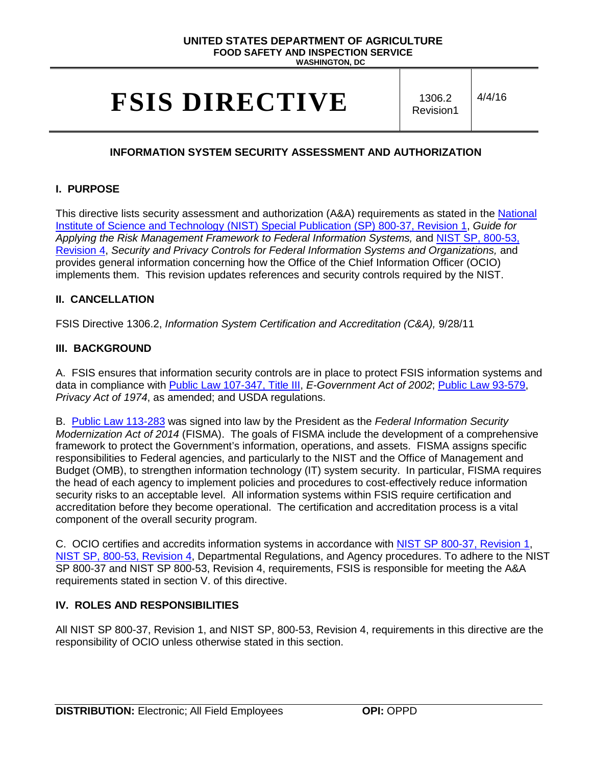# **UNITED STATES DEPARTMENT OF AGRICULTURE FOOD SAFETY AND INSPECTION SERVICE**

**WASHINGTON, DC**

# **FSIS DIRECTIVE** 1306.2

Revision1 4/4/16

# **INFORMATION SYSTEM SECURITY ASSESSMENT AND AUTHORIZATION**

#### **I. PURPOSE**

This directive lists security assessment and authorization (A&A) requirements as stated in the [National](http://nvlpubs.nist.gov/nistpubs/SpecialPublications/NIST.SP.800-37r1.pdf)  Institute of Science and Technology (NIST) [Special Publication \(SP\) 800-37, Revision 1,](http://nvlpubs.nist.gov/nistpubs/SpecialPublications/NIST.SP.800-37r1.pdf) *Guide for Applying the Risk Management Framework to Federal Information Systems,* and [NIST SP,](http://nvlpubs.nist.gov/nistpubs/SpecialPublications/NIST.SP.800-53r4.pdf) 800-53, [Revision 4,](http://nvlpubs.nist.gov/nistpubs/SpecialPublications/NIST.SP.800-53r4.pdf) *Security and Privacy Controls for Federal Information Systems and Organizations,* and provides general information concerning how the Office of the Chief Information Officer (OCIO) implements them. This revision updates references and security controls required by the NIST.

#### **II. CANCELLATION**

FSIS Directive 1306.2, *Information System Certification and Accreditation (C&A),* 9/28/11

#### **III. BACKGROUND**

A. FSIS ensures that information security controls are in place to protect FSIS information systems and data in compliance with [Public Law 107-347, Title III,](http://www.gpo.gov/fdsys/pkg/PLAW-107publ347/pdf/PLAW-107publ347.pdf) *E-Government Act of 2002*; [Public Law 93-579,](http://www.justice.gov/opcl/privacy-act-1974) *Privacy Act of 1974*, as amended; and USDA regulations.

B. [Public Law 113-283](https://www.congress.gov/113/plaws/publ283/PLAW-113publ283.pdf) was signed into law by the President as the *Federal Information Security Modernization Act of 2014* (FISMA). The goals of FISMA include the development of a comprehensive framework to protect the Government's information, operations, and assets. FISMA assigns specific responsibilities to Federal agencies, and particularly to the NIST and the Office of Management and Budget (OMB), to strengthen information technology (IT) system security. In particular, FISMA requires the head of each agency to implement policies and procedures to cost-effectively reduce information security risks to an acceptable level. All information systems within FSIS require certification and accreditation before they become operational. The certification and accreditation process is a vital component of the overall security program.

C. OCIO certifies and accredits information systems in accordance with NIST SP 800-37, [Revision 1,](http://nvlpubs.nist.gov/nistpubs/SpecialPublications/NIST.SP.800-37r1.pdf) NIST SP, [800-53, Revision 4,](http://nvlpubs.nist.gov/nistpubs/SpecialPublications/NIST.SP.800-53r4.pdf) Departmental Regulations, and Agency procedures. To adhere to the NIST SP 800-37 and NIST SP 800-53, Revision 4, requirements, FSIS is responsible for meeting the A&A requirements stated in section V. of this directive.

#### **IV. ROLES AND RESPONSIBILITIES**

All NIST SP 800-37, Revision 1, and NIST SP, 800-53, Revision 4, requirements in this directive are the responsibility of OCIO unless otherwise stated in this section.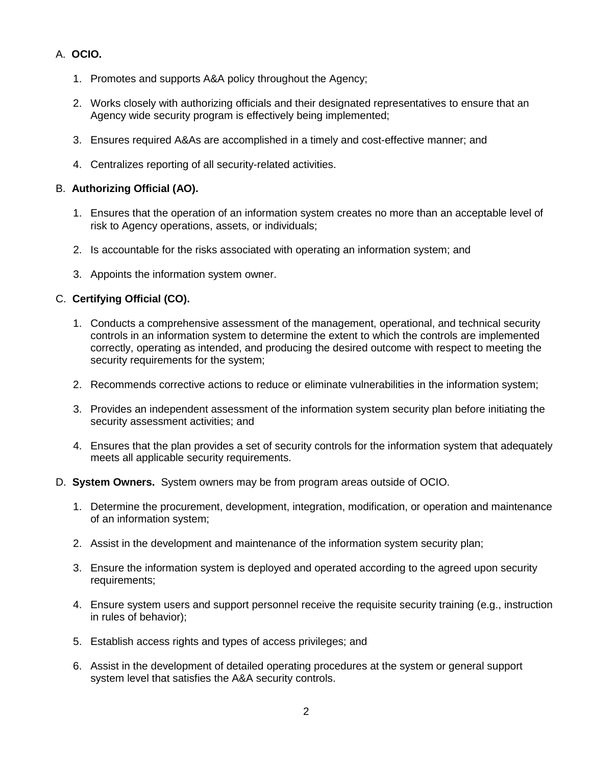# A. **OCIO.**

- 1. Promotes and supports A&A policy throughout the Agency;
- 2. Works closely with authorizing officials and their designated representatives to ensure that an Agency wide security program is effectively being implemented;
- 3. Ensures required A&As are accomplished in a timely and cost-effective manner; and
- 4. Centralizes reporting of all security-related activities.

#### B. **Authorizing Official (AO).**

- 1. Ensures that the operation of an information system creates no more than an acceptable level of risk to Agency operations, assets, or individuals;
- 2. Is accountable for the risks associated with operating an information system; and
- 3. Appoints the information system owner.

# C. **Certifying Official (CO).**

- 1. Conducts a comprehensive assessment of the management, operational, and technical security controls in an information system to determine the extent to which the controls are implemented correctly, operating as intended, and producing the desired outcome with respect to meeting the security requirements for the system;
- 2. Recommends corrective actions to reduce or eliminate vulnerabilities in the information system;
- 3. Provides an independent assessment of the information system security plan before initiating the security assessment activities; and
- 4. Ensures that the plan provides a set of security controls for the information system that adequately meets all applicable security requirements.
- D. **System Owners.** System owners may be from program areas outside of OCIO.
	- 1. Determine the procurement, development, integration, modification, or operation and maintenance of an information system;
	- 2. Assist in the development and maintenance of the information system security plan;
	- 3. Ensure the information system is deployed and operated according to the agreed upon security requirements;
	- 4. Ensure system users and support personnel receive the requisite security training (e.g., instruction in rules of behavior);
	- 5. Establish access rights and types of access privileges; and
	- 6. Assist in the development of detailed operating procedures at the system or general support system level that satisfies the A&A security controls.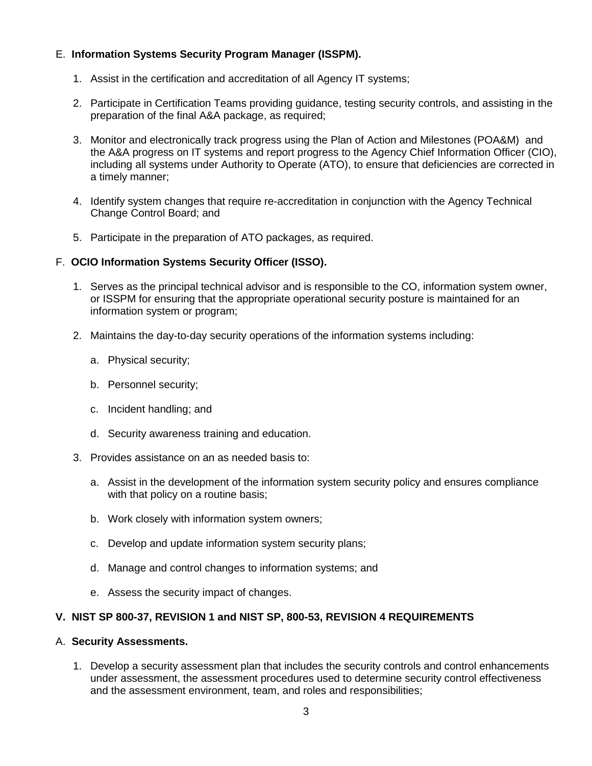# E. **Information Systems Security Program Manager (ISSPM).**

- 1. Assist in the certification and accreditation of all Agency IT systems;
- 2. Participate in Certification Teams providing guidance, testing security controls, and assisting in the preparation of the final A&A package, as required;
- 3. Monitor and electronically track progress using the Plan of Action and Milestones (POA&M) and the A&A progress on IT systems and report progress to the Agency Chief Information Officer (CIO), including all systems under Authority to Operate (ATO), to ensure that deficiencies are corrected in a timely manner;
- 4. Identify system changes that require re-accreditation in conjunction with the Agency Technical Change Control Board; and
- 5. Participate in the preparation of ATO packages, as required.

#### F. **OCIO Information Systems Security Officer (ISSO).**

- 1. Serves as the principal technical advisor and is responsible to the CO, information system owner, or ISSPM for ensuring that the appropriate operational security posture is maintained for an information system or program;
- 2. Maintains the day-to-day security operations of the information systems including:
	- a. Physical security;
	- b. Personnel security;
	- c. Incident handling; and
	- d. Security awareness training and education.
- 3. Provides assistance on an as needed basis to:
	- a. Assist in the development of the information system security policy and ensures compliance with that policy on a routine basis;
	- b. Work closely with information system owners;
	- c. Develop and update information system security plans;
	- d. Manage and control changes to information systems; and
	- e. Assess the security impact of changes.

#### **V. NIST SP 800-37, REVISION 1 and NIST SP, 800-53, REVISION 4 REQUIREMENTS**

#### A. **Security Assessments.**

1. Develop a security assessment plan that includes the security controls and control enhancements under assessment, the assessment procedures used to determine security control effectiveness and the assessment environment, team, and roles and responsibilities;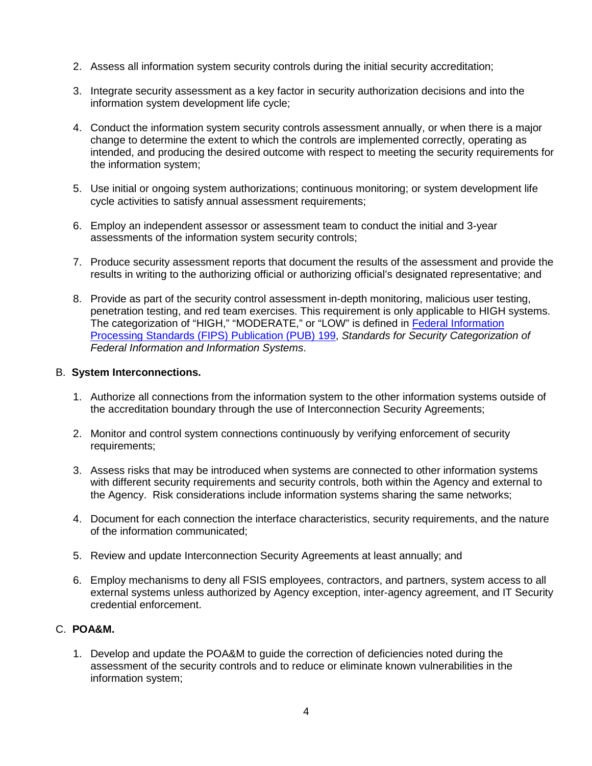- 2. Assess all information system security controls during the initial security accreditation;
- 3. Integrate security assessment as a key factor in security authorization decisions and into the information system development life cycle;
- 4. Conduct the information system security controls assessment annually, or when there is a major change to determine the extent to which the controls are implemented correctly, operating as intended, and producing the desired outcome with respect to meeting the security requirements for the information system;
- 5. Use initial or ongoing system authorizations; continuous monitoring; or system development life cycle activities to satisfy annual assessment requirements;
- 6. Employ an independent assessor or assessment team to conduct the initial and 3-year assessments of the information system security controls;
- 7. Produce security assessment reports that document the results of the assessment and provide the results in writing to the authorizing official or authorizing official's designated representative; and
- 8. Provide as part of the security control assessment in-depth monitoring, malicious user testing, penetration testing, and red team exercises. This requirement is only applicable to HIGH systems. The categorization of "HIGH," "MODERATE," or "LOW" is defined in [Federal Information](http://csrc.nist.gov/publications/fips/fips199/FIPS-PUB-199-final.pdf)  [Processing Standards \(FIPS\) Publication \(PUB\) 199,](http://csrc.nist.gov/publications/fips/fips199/FIPS-PUB-199-final.pdf) *Standards for Security Categorization of Federal Information and Information Systems*.

# B. **System Interconnections.**

- 1. Authorize all connections from the information system to the other information systems outside of the accreditation boundary through the use of Interconnection Security Agreements;
- 2. Monitor and control system connections continuously by verifying enforcement of security requirements;
- 3. Assess risks that may be introduced when systems are connected to other information systems with different security requirements and security controls, both within the Agency and external to the Agency. Risk considerations include information systems sharing the same networks;
- 4. Document for each connection the interface characteristics, security requirements, and the nature of the information communicated;
- 5. Review and update Interconnection Security Agreements at least annually; and
- 6. Employ mechanisms to deny all FSIS employees, contractors, and partners, system access to all external systems unless authorized by Agency exception, inter-agency agreement, and IT Security credential enforcement.

# C. **POA&M.**

1. Develop and update the POA&M to guide the correction of deficiencies noted during the assessment of the security controls and to reduce or eliminate known vulnerabilities in the information system;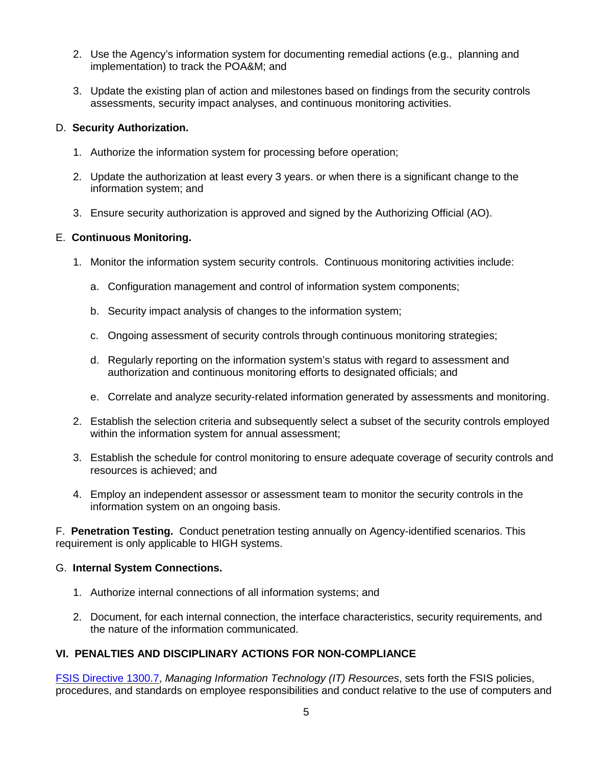- 2. Use the Agency's information system for documenting remedial actions (e.g., planning and implementation) to track the POA&M; and
- 3. Update the existing plan of action and milestones based on findings from the security controls assessments, security impact analyses, and continuous monitoring activities.

# D. **Security Authorization.**

- 1. Authorize the information system for processing before operation;
- 2. Update the authorization at least every 3 years. or when there is a significant change to the information system; and
- 3. Ensure security authorization is approved and signed by the Authorizing Official (AO).

# E. **Continuous Monitoring.**

- 1. Monitor the information system security controls. Continuous monitoring activities include:
	- a. Configuration management and control of information system components;
	- b. Security impact analysis of changes to the information system;
	- c. Ongoing assessment of security controls through continuous monitoring strategies;
	- d. Regularly reporting on the information system's status with regard to assessment and authorization and continuous monitoring efforts to designated officials; and
	- e. Correlate and analyze security-related information generated by assessments and monitoring.
- 2. Establish the selection criteria and subsequently select a subset of the security controls employed within the information system for annual assessment;
- 3. Establish the schedule for control monitoring to ensure adequate coverage of security controls and resources is achieved; and
- 4. Employ an independent assessor or assessment team to monitor the security controls in the information system on an ongoing basis.

F. **Penetration Testing.** Conduct penetration testing annually on Agency-identified scenarios. This requirement is only applicable to HIGH systems.

#### G. **Internal System Connections.**

- 1. Authorize internal connections of all information systems; and
- 2. Document, for each internal connection, the interface characteristics, security requirements, and the nature of the information communicated.

# **VI. PENALTIES AND DISCIPLINARY ACTIONS FOR NON-COMPLIANCE**

[FSIS Directive 1300.7,](http://www.fsis.usda.gov/wps/wcm/connect/b3406ba7-305f-4ff9-b513-ef212423afb8/1300.7.pdf?MOD=AJPERES) *Managing Information Technology (IT) Resources*, sets forth the FSIS policies, procedures, and standards on employee responsibilities and conduct relative to the use of computers and